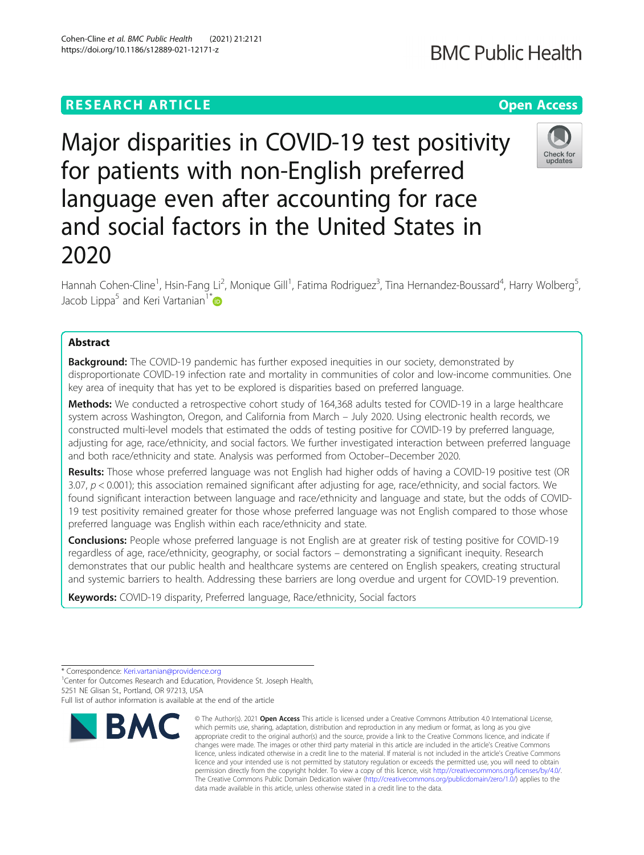# **RESEARCH ARTICLE Example 2014 12:30 The Contract of Contract ACCESS**

# Major disparities in COVID-19 test positivity for patients with non-English preferred language even after accounting for race and social factors in the United States in 2020

Hannah Cohen-Cline<sup>1</sup>, Hsin-Fang Li<sup>2</sup>, Monique Gill<sup>1</sup>, Fatima Rodriguez<sup>3</sup>, Tina Hernandez-Boussard<sup>4</sup>, Harry Wolberg<sup>5</sup> , Jacob Lippa<sup>5</sup> and Keri Vartanian<sup>1\*</sup>

# Abstract

**Background:** The COVID-19 pandemic has further exposed inequities in our society, demonstrated by disproportionate COVID-19 infection rate and mortality in communities of color and low-income communities. One key area of inequity that has yet to be explored is disparities based on preferred language.

Methods: We conducted a retrospective cohort study of 164,368 adults tested for COVID-19 in a large healthcare system across Washington, Oregon, and California from March – July 2020. Using electronic health records, we constructed multi-level models that estimated the odds of testing positive for COVID-19 by preferred language, adjusting for age, race/ethnicity, and social factors. We further investigated interaction between preferred language and both race/ethnicity and state. Analysis was performed from October–December 2020.

Results: Those whose preferred language was not English had higher odds of having a COVID-19 positive test (OR 3.07,  $p < 0.001$ ); this association remained significant after adjusting for age, race/ethnicity, and social factors. We found significant interaction between language and race/ethnicity and language and state, but the odds of COVID-19 test positivity remained greater for those whose preferred language was not English compared to those whose preferred language was English within each race/ethnicity and state.

**Conclusions:** People whose preferred language is not English are at greater risk of testing positive for COVID-19 regardless of age, race/ethnicity, geography, or social factors – demonstrating a significant inequity. Research demonstrates that our public health and healthcare systems are centered on English speakers, creating structural and systemic barriers to health. Addressing these barriers are long overdue and urgent for COVID-19 prevention.

Keywords: COVID-19 disparity, Preferred language, Race/ethnicity, Social factors

**RMC** 



**BMC Public Health** 



<sup>\*</sup> Correspondence: [Keri.vartanian@providence.org](mailto:Keri.vartanian@providence.org) <sup>1</sup>

<sup>&</sup>lt;sup>1</sup> Center for Outcomes Research and Education, Providence St. Joseph Health, 5251 NE Glisan St., Portland, OR 97213, USA

Full list of author information is available at the end of the article

<sup>©</sup> The Author(s), 2021 **Open Access** This article is licensed under a Creative Commons Attribution 4.0 International License, which permits use, sharing, adaptation, distribution and reproduction in any medium or format, as long as you give appropriate credit to the original author(s) and the source, provide a link to the Creative Commons licence, and indicate if changes were made. The images or other third party material in this article are included in the article's Creative Commons licence, unless indicated otherwise in a credit line to the material. If material is not included in the article's Creative Commons licence and your intended use is not permitted by statutory regulation or exceeds the permitted use, you will need to obtain permission directly from the copyright holder. To view a copy of this licence, visit [http://creativecommons.org/licenses/by/4.0/.](http://creativecommons.org/licenses/by/4.0/) The Creative Commons Public Domain Dedication waiver [\(http://creativecommons.org/publicdomain/zero/1.0/](http://creativecommons.org/publicdomain/zero/1.0/)) applies to the data made available in this article, unless otherwise stated in a credit line to the data.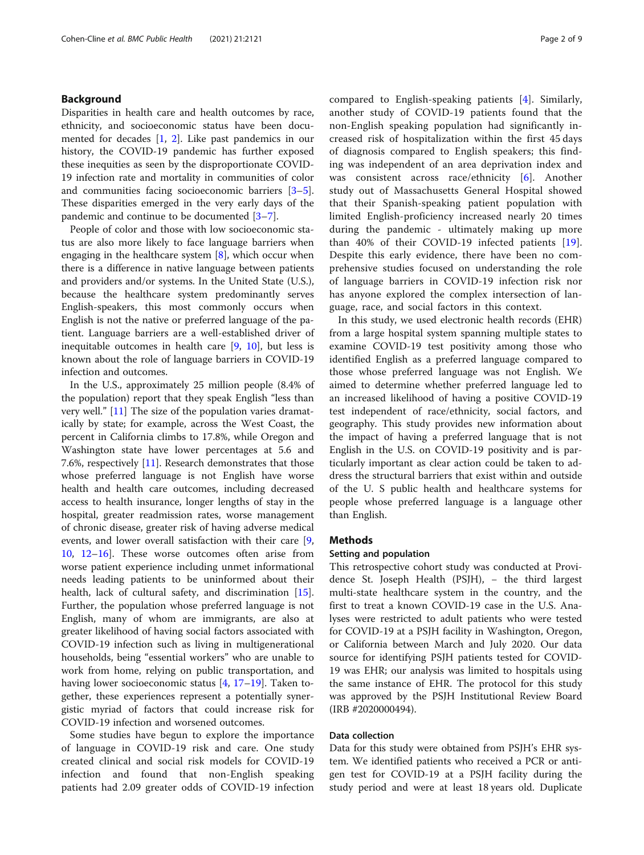# Background

Disparities in health care and health outcomes by race, ethnicity, and socioeconomic status have been documented for decades [\[1](#page-7-0), [2\]](#page-7-0). Like past pandemics in our history, the COVID-19 pandemic has further exposed these inequities as seen by the disproportionate COVID-19 infection rate and mortality in communities of color and communities facing socioeconomic barriers [\[3](#page-7-0)–[5](#page-7-0)]. These disparities emerged in the very early days of the pandemic and continue to be documented [[3](#page-7-0)–[7](#page-7-0)].

People of color and those with low socioeconomic status are also more likely to face language barriers when engaging in the healthcare system  $[8]$  $[8]$ , which occur when there is a difference in native language between patients and providers and/or systems. In the United State (U.S.), because the healthcare system predominantly serves English-speakers, this most commonly occurs when English is not the native or preferred language of the patient. Language barriers are a well-established driver of inequitable outcomes in health care [\[9](#page-7-0), [10\]](#page-7-0), but less is known about the role of language barriers in COVID-19 infection and outcomes.

In the U.S., approximately 25 million people (8.4% of the population) report that they speak English "less than very well." [[11\]](#page-7-0) The size of the population varies dramatically by state; for example, across the West Coast, the percent in California climbs to 17.8%, while Oregon and Washington state have lower percentages at 5.6 and 7.6%, respectively [\[11](#page-7-0)]. Research demonstrates that those whose preferred language is not English have worse health and health care outcomes, including decreased access to health insurance, longer lengths of stay in the hospital, greater readmission rates, worse management of chronic disease, greater risk of having adverse medical events, and lower overall satisfaction with their care [\[9](#page-7-0), [10,](#page-7-0) [12](#page-7-0)–[16](#page-7-0)]. These worse outcomes often arise from worse patient experience including unmet informational needs leading patients to be uninformed about their health, lack of cultural safety, and discrimination [\[15](#page-7-0)]. Further, the population whose preferred language is not English, many of whom are immigrants, are also at greater likelihood of having social factors associated with COVID-19 infection such as living in multigenerational households, being "essential workers" who are unable to work from home, relying on public transportation, and having lower socioeconomic status [[4,](#page-7-0) [17](#page-7-0)–[19\]](#page-7-0). Taken together, these experiences represent a potentially synergistic myriad of factors that could increase risk for COVID-19 infection and worsened outcomes.

Some studies have begun to explore the importance of language in COVID-19 risk and care. One study created clinical and social risk models for COVID-19 infection and found that non-English speaking patients had 2.09 greater odds of COVID-19 infection compared to English-speaking patients [[4\]](#page-7-0). Similarly, another study of COVID-19 patients found that the non-English speaking population had significantly increased risk of hospitalization within the first 45 days of diagnosis compared to English speakers; this finding was independent of an area deprivation index and was consistent across race/ethnicity [\[6](#page-7-0)]. Another study out of Massachusetts General Hospital showed that their Spanish-speaking patient population with limited English-proficiency increased nearly 20 times during the pandemic - ultimately making up more than 40% of their COVID-19 infected patients [\[19](#page-7-0)]. Despite this early evidence, there have been no comprehensive studies focused on understanding the role of language barriers in COVID-19 infection risk nor has anyone explored the complex intersection of language, race, and social factors in this context.

In this study, we used electronic health records (EHR) from a large hospital system spanning multiple states to examine COVID-19 test positivity among those who identified English as a preferred language compared to those whose preferred language was not English. We aimed to determine whether preferred language led to an increased likelihood of having a positive COVID-19 test independent of race/ethnicity, social factors, and geography. This study provides new information about the impact of having a preferred language that is not English in the U.S. on COVID-19 positivity and is particularly important as clear action could be taken to address the structural barriers that exist within and outside of the U. S public health and healthcare systems for people whose preferred language is a language other than English.

#### Methods

# Setting and population

This retrospective cohort study was conducted at Providence St. Joseph Health (PSJH), − the third largest multi-state healthcare system in the country, and the first to treat a known COVID-19 case in the U.S. Analyses were restricted to adult patients who were tested for COVID-19 at a PSJH facility in Washington, Oregon, or California between March and July 2020. Our data source for identifying PSJH patients tested for COVID-19 was EHR; our analysis was limited to hospitals using the same instance of EHR. The protocol for this study was approved by the PSJH Institutional Review Board (IRB #2020000494).

# Data collection

Data for this study were obtained from PSJH's EHR system. We identified patients who received a PCR or antigen test for COVID-19 at a PSJH facility during the study period and were at least 18 years old. Duplicate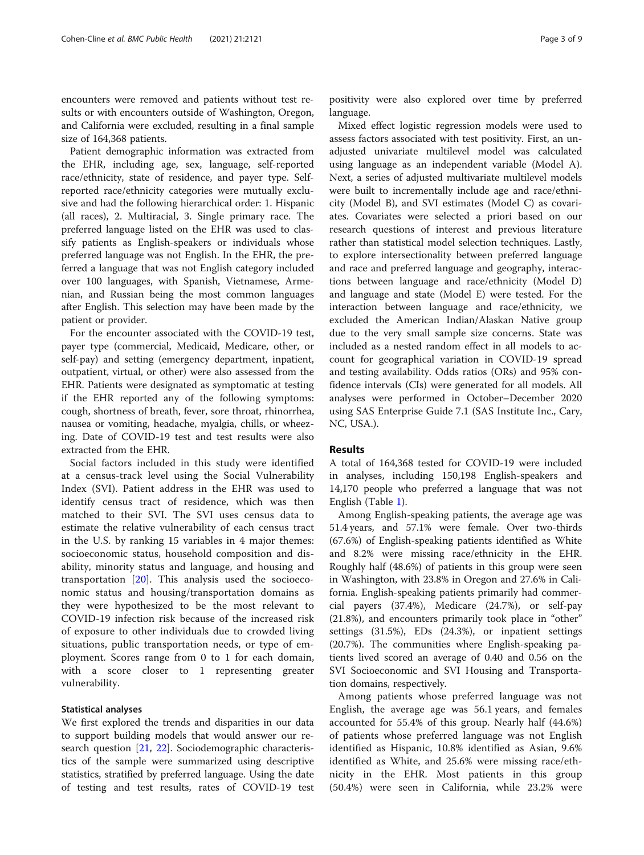encounters were removed and patients without test results or with encounters outside of Washington, Oregon, and California were excluded, resulting in a final sample size of 164,368 patients.

Patient demographic information was extracted from the EHR, including age, sex, language, self-reported race/ethnicity, state of residence, and payer type. Selfreported race/ethnicity categories were mutually exclusive and had the following hierarchical order: 1. Hispanic (all races), 2. Multiracial, 3. Single primary race. The preferred language listed on the EHR was used to classify patients as English-speakers or individuals whose preferred language was not English. In the EHR, the preferred a language that was not English category included over 100 languages, with Spanish, Vietnamese, Armenian, and Russian being the most common languages after English. This selection may have been made by the patient or provider.

For the encounter associated with the COVID-19 test, payer type (commercial, Medicaid, Medicare, other, or self-pay) and setting (emergency department, inpatient, outpatient, virtual, or other) were also assessed from the EHR. Patients were designated as symptomatic at testing if the EHR reported any of the following symptoms: cough, shortness of breath, fever, sore throat, rhinorrhea, nausea or vomiting, headache, myalgia, chills, or wheezing. Date of COVID-19 test and test results were also extracted from the EHR.

Social factors included in this study were identified at a census-track level using the Social Vulnerability Index (SVI). Patient address in the EHR was used to identify census tract of residence, which was then matched to their SVI. The SVI uses census data to estimate the relative vulnerability of each census tract in the U.S. by ranking 15 variables in 4 major themes: socioeconomic status, household composition and disability, minority status and language, and housing and transportation [\[20](#page-7-0)]. This analysis used the socioeconomic status and housing/transportation domains as they were hypothesized to be the most relevant to COVID-19 infection risk because of the increased risk of exposure to other individuals due to crowded living situations, public transportation needs, or type of employment. Scores range from 0 to 1 for each domain, with a score closer to 1 representing greater vulnerability.

#### Statistical analyses

We first explored the trends and disparities in our data to support building models that would answer our research question [[21](#page-7-0), [22](#page-7-0)]. Sociodemographic characteristics of the sample were summarized using descriptive statistics, stratified by preferred language. Using the date of testing and test results, rates of COVID-19 test

positivity were also explored over time by preferred language.

Mixed effect logistic regression models were used to assess factors associated with test positivity. First, an unadjusted univariate multilevel model was calculated using language as an independent variable (Model A). Next, a series of adjusted multivariate multilevel models were built to incrementally include age and race/ethnicity (Model B), and SVI estimates (Model C) as covariates. Covariates were selected a priori based on our research questions of interest and previous literature rather than statistical model selection techniques. Lastly, to explore intersectionality between preferred language and race and preferred language and geography, interactions between language and race/ethnicity (Model D) and language and state (Model E) were tested. For the interaction between language and race/ethnicity, we excluded the American Indian/Alaskan Native group due to the very small sample size concerns. State was included as a nested random effect in all models to account for geographical variation in COVID-19 spread and testing availability. Odds ratios (ORs) and 95% confidence intervals (CIs) were generated for all models. All analyses were performed in October–December 2020 using SAS Enterprise Guide 7.1 (SAS Institute Inc., Cary, NC, USA.).

#### Results

A total of 164,368 tested for COVID-19 were included in analyses, including 150,198 English-speakers and 14,170 people who preferred a language that was not English (Table [1\)](#page-3-0).

Among English-speaking patients, the average age was 51.4 years, and 57.1% were female. Over two-thirds (67.6%) of English-speaking patients identified as White and 8.2% were missing race/ethnicity in the EHR. Roughly half (48.6%) of patients in this group were seen in Washington, with 23.8% in Oregon and 27.6% in California. English-speaking patients primarily had commercial payers (37.4%), Medicare (24.7%), or self-pay (21.8%), and encounters primarily took place in "other" settings (31.5%), EDs (24.3%), or inpatient settings (20.7%). The communities where English-speaking patients lived scored an average of 0.40 and 0.56 on the SVI Socioeconomic and SVI Housing and Transportation domains, respectively.

Among patients whose preferred language was not English, the average age was 56.1 years, and females accounted for 55.4% of this group. Nearly half (44.6%) of patients whose preferred language was not English identified as Hispanic, 10.8% identified as Asian, 9.6% identified as White, and 25.6% were missing race/ethnicity in the EHR. Most patients in this group (50.4%) were seen in California, while 23.2% were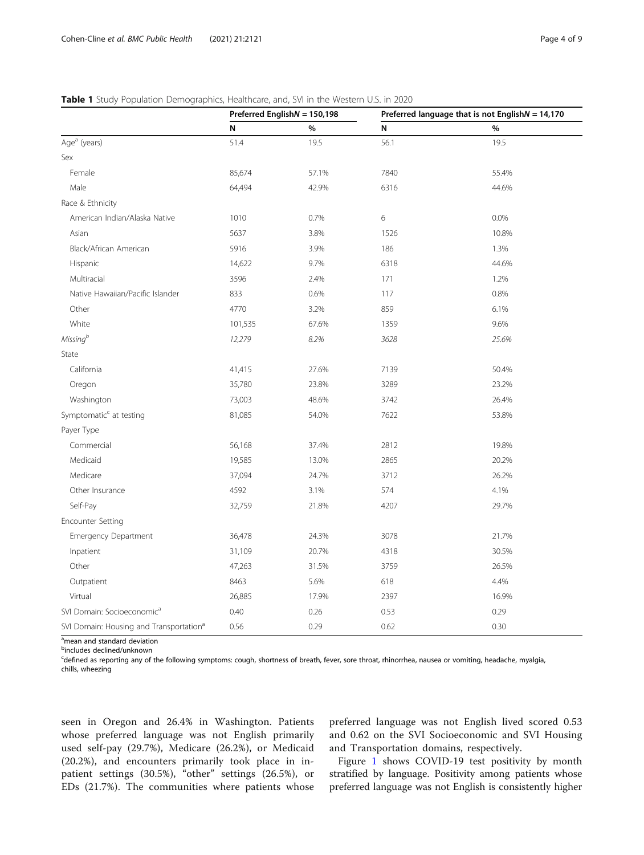# <span id="page-3-0"></span>Table 1 Study Population Demographics, Healthcare, and, SVI in the Western U.S. in 2020

|                                                     |         | Preferred English $N = 150,198$ | Preferred language that is not English $N = 14,170$ |       |  |  |
|-----------------------------------------------------|---------|---------------------------------|-----------------------------------------------------|-------|--|--|
|                                                     | N       | $\%$                            | N                                                   | $\%$  |  |  |
| Age <sup>a</sup> (years)                            | 51.4    | 19.5                            | 56.1                                                | 19.5  |  |  |
| Sex                                                 |         |                                 |                                                     |       |  |  |
| Female                                              | 85,674  | 57.1%                           | 7840                                                | 55.4% |  |  |
| Male                                                | 64,494  | 42.9%                           | 6316                                                | 44.6% |  |  |
| Race & Ethnicity                                    |         |                                 |                                                     |       |  |  |
| American Indian/Alaska Native                       | 1010    | 0.7%                            | 6                                                   | 0.0%  |  |  |
| Asian                                               | 5637    | 3.8%                            | 1526                                                | 10.8% |  |  |
| Black/African American                              | 5916    | 3.9%                            | 186                                                 | 1.3%  |  |  |
| Hispanic                                            | 14,622  | 9.7%                            | 6318                                                | 44.6% |  |  |
| Multiracial                                         | 3596    | 2.4%                            | 171                                                 | 1.2%  |  |  |
| Native Hawaiian/Pacific Islander                    | 833     | 0.6%                            | 117                                                 | 0.8%  |  |  |
| Other                                               | 4770    | 3.2%                            | 859                                                 | 6.1%  |  |  |
| White                                               | 101,535 | 67.6%                           | 1359                                                | 9.6%  |  |  |
| Missing <sup>b</sup>                                | 12,279  | 8.2%                            | 3628                                                | 25.6% |  |  |
| State                                               |         |                                 |                                                     |       |  |  |
| California                                          | 41,415  | 27.6%                           | 7139                                                | 50.4% |  |  |
| Oregon                                              | 35,780  | 23.8%                           | 3289                                                | 23.2% |  |  |
| Washington                                          | 73,003  | 48.6%                           | 3742                                                | 26.4% |  |  |
| Symptomatic <sup>c</sup> at testing                 | 81,085  | 54.0%                           | 7622                                                | 53.8% |  |  |
| Payer Type                                          |         |                                 |                                                     |       |  |  |
| Commercial                                          | 56,168  | 37.4%                           | 2812                                                | 19.8% |  |  |
| Medicaid                                            | 19,585  | 13.0%                           | 2865                                                | 20.2% |  |  |
| Medicare                                            | 37,094  | 24.7%                           | 3712                                                | 26.2% |  |  |
| Other Insurance                                     | 4592    | 3.1%                            | 574                                                 | 4.1%  |  |  |
| Self-Pay                                            | 32,759  | 21.8%                           | 4207                                                | 29.7% |  |  |
| <b>Encounter Setting</b>                            |         |                                 |                                                     |       |  |  |
| Emergency Department                                | 36,478  | 24.3%                           | 3078                                                | 21.7% |  |  |
| Inpatient                                           | 31,109  | 20.7%                           | 4318                                                | 30.5% |  |  |
| Other                                               | 47,263  | 31.5%                           | 3759                                                | 26.5% |  |  |
| Outpatient                                          | 8463    | 5.6%                            | 618                                                 | 4.4%  |  |  |
| Virtual                                             | 26,885  | 17.9%                           | 2397                                                | 16.9% |  |  |
| SVI Domain: Socioeconomic <sup>a</sup>              | 0.40    | 0.26                            | 0.53                                                | 0.29  |  |  |
| SVI Domain: Housing and Transportation <sup>a</sup> | 0.56    | 0.29                            | 0.62                                                | 0.30  |  |  |

<sup>a</sup>mean and standard deviation

<sup>b</sup>includes declined/unknown

c defined as reporting any of the following symptoms: cough, shortness of breath, fever, sore throat, rhinorrhea, nausea or vomiting, headache, myalgia, chills, wheezing

seen in Oregon and 26.4% in Washington. Patients whose preferred language was not English primarily used self-pay (29.7%), Medicare (26.2%), or Medicaid (20.2%), and encounters primarily took place in inpatient settings (30.5%), "other" settings (26.5%), or EDs (21.7%). The communities where patients whose preferred language was not English lived scored 0.53 and 0.62 on the SVI Socioeconomic and SVI Housing and Transportation domains, respectively.

Figure [1](#page-4-0) shows COVID-19 test positivity by month stratified by language. Positivity among patients whose preferred language was not English is consistently higher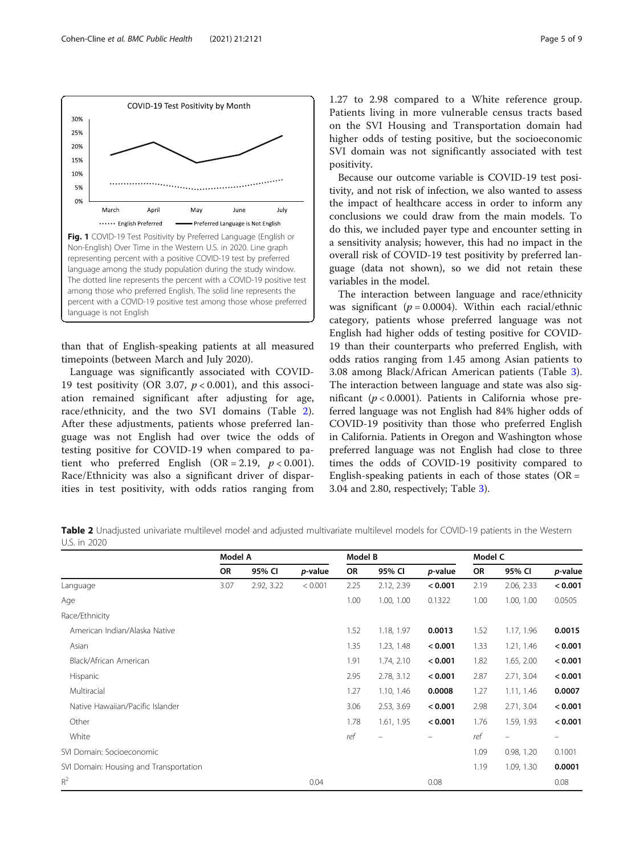than that of English-speaking patients at all measured timepoints (between March and July 2020).

Language was significantly associated with COVID-19 test positivity (OR 3.07,  $p < 0.001$ ), and this association remained significant after adjusting for age, race/ethnicity, and the two SVI domains (Table 2). After these adjustments, patients whose preferred language was not English had over twice the odds of testing positive for COVID-19 when compared to patient who preferred English  $(OR = 2.19, p < 0.001)$ . Race/Ethnicity was also a significant driver of disparities in test positivity, with odds ratios ranging from

1.27 to 2.98 compared to a White reference group. Patients living in more vulnerable census tracts based on the SVI Housing and Transportation domain had higher odds of testing positive, but the socioeconomic SVI domain was not significantly associated with test positivity.

Because our outcome variable is COVID-19 test positivity, and not risk of infection, we also wanted to assess the impact of healthcare access in order to inform any conclusions we could draw from the main models. To do this, we included payer type and encounter setting in a sensitivity analysis; however, this had no impact in the overall risk of COVID-19 test positivity by preferred language (data not shown), so we did not retain these variables in the model.

The interaction between language and race/ethnicity was significant ( $p = 0.0004$ ). Within each racial/ethnic category, patients whose preferred language was not English had higher odds of testing positive for COVID-19 than their counterparts who preferred English, with odds ratios ranging from 1.45 among Asian patients to 3.08 among Black/African American patients (Table [3](#page-5-0)). The interaction between language and state was also significant ( $p < 0.0001$ ). Patients in California whose preferred language was not English had 84% higher odds of COVID-19 positivity than those who preferred English in California. Patients in Oregon and Washington whose preferred language was not English had close to three times the odds of COVID-19 positivity compared to English-speaking patients in each of those states  $(OR =$ 3.04 and 2.80, respectively; Table [3\)](#page-5-0).

Table 2 Unadjusted univariate multilevel model and adjusted multivariate multilevel models for COVID-19 patients in the Western U.S. in 2020

|                                        | Model A |            |                 | Model B |            |                 | Model C |                          |         |
|----------------------------------------|---------|------------|-----------------|---------|------------|-----------------|---------|--------------------------|---------|
|                                        | OR      | 95% CI     | <i>p</i> -value | OR      | 95% CI     | <i>p</i> -value | OR      | 95% CI                   | p-value |
| Language                               | 3.07    | 2.92, 3.22 | < 0.001         | 2.25    | 2.12, 2.39 | < 0.001         | 2.19    | 2.06, 2.33               | < 0.001 |
| Age                                    |         |            |                 | 1.00    | 1.00, 1.00 | 0.1322          | 1.00    | 1.00, 1.00               | 0.0505  |
| Race/Ethnicity                         |         |            |                 |         |            |                 |         |                          |         |
| American Indian/Alaska Native          |         |            |                 | 1.52    | 1.18, 1.97 | 0.0013          | 1.52    | 1.17, 1.96               | 0.0015  |
| Asian                                  |         |            |                 | 1.35    | 1.23, 1.48 | < 0.001         | 1.33    | 1.21, 1.46               | < 0.001 |
| Black/African American                 |         |            |                 | 1.91    | 1.74, 2.10 | < 0.001         | 1.82    | 1.65, 2.00               | < 0.001 |
| Hispanic                               |         |            |                 | 2.95    | 2.78, 3.12 | < 0.001         | 2.87    | 2.71, 3.04               | < 0.001 |
| Multiracial                            |         |            |                 | 1.27    | 1.10, 1.46 | 0.0008          | 1.27    | 1.11, 1.46               | 0.0007  |
| Native Hawaiian/Pacific Islander       |         |            |                 | 3.06    | 2.53, 3.69 | < 0.001         | 2.98    | 2.71, 3.04               | < 0.001 |
| Other                                  |         |            |                 | 1.78    | 1.61, 1.95 | < 0.001         | 1.76    | 1.59, 1.93               | < 0.001 |
| White                                  |         |            |                 | ref     |            |                 | ref     | $\overline{\phantom{m}}$ |         |
| SVI Domain: Socioeconomic              |         |            |                 |         |            |                 | 1.09    | 0.98, 1.20               | 0.1001  |
| SVI Domain: Housing and Transportation |         |            |                 |         |            |                 | 1.19    | 1.09, 1.30               | 0.0001  |
| $R^2$                                  |         |            | 0.04            |         |            | 0.08            |         |                          | 0.08    |

<span id="page-4-0"></span>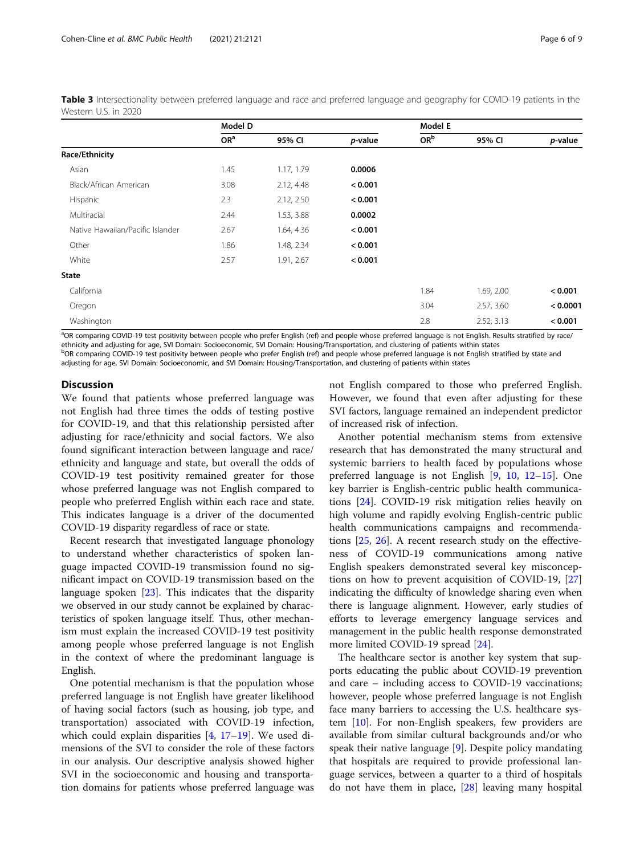<span id="page-5-0"></span>

| Table 3 Intersectionality between preferred language and race and preferred language and geography for COVID-19 patients in the |  |  |  |  |  |  |
|---------------------------------------------------------------------------------------------------------------------------------|--|--|--|--|--|--|
| Western U.S. in 2020                                                                                                            |  |  |  |  |  |  |

|                                  | Model D         |            |         | Model E         |            |          |  |
|----------------------------------|-----------------|------------|---------|-----------------|------------|----------|--|
|                                  | OR <sup>a</sup> | 95% CI     | p-value | OR <sup>b</sup> | 95% CI     | p-value  |  |
| Race/Ethnicity                   |                 |            |         |                 |            |          |  |
| Asian                            | 1.45            | 1.17, 1.79 | 0.0006  |                 |            |          |  |
| Black/African American           | 3.08            | 2.12, 4.48 | < 0.001 |                 |            |          |  |
| Hispanic                         | 2.3             | 2.12, 2.50 | < 0.001 |                 |            |          |  |
| Multiracial                      | 2.44            | 1.53, 3.88 | 0.0002  |                 |            |          |  |
| Native Hawaiian/Pacific Islander | 2.67            | 1.64, 4.36 | < 0.001 |                 |            |          |  |
| Other                            | 1.86            | 1.48, 2.34 | < 0.001 |                 |            |          |  |
| White                            | 2.57            | 1.91, 2.67 | < 0.001 |                 |            |          |  |
| <b>State</b>                     |                 |            |         |                 |            |          |  |
| California                       |                 |            |         | 1.84            | 1.69, 2.00 | < 0.001  |  |
| Oregon                           |                 |            |         | 3.04            | 2.57, 3.60 | < 0.0001 |  |
| Washington                       |                 |            |         | 2.8             | 2.52, 3.13 | < 0.001  |  |

<sup>a</sup>OR comparing COVID-19 test positivity between people who prefer English (ref) and people whose preferred language is not English. Results stratified by race/ ethnicity and adjusting for age, SVI Domain: Socioeconomic, SVI Domain: Housing/Transportation, and clustering of patients within states

<sup>b</sup>OR comparing COVID-19 test positivity between people who prefer English (ref) and people whose preferred language is not English stratified by state and adjusting for age, SVI Domain: Socioeconomic, and SVI Domain: Housing/Transportation, and clustering of patients within states

#### **Discussion**

We found that patients whose preferred language was not English had three times the odds of testing postive for COVID-19, and that this relationship persisted after adjusting for race/ethnicity and social factors. We also found significant interaction between language and race/ ethnicity and language and state, but overall the odds of COVID-19 test positivity remained greater for those whose preferred language was not English compared to people who preferred English within each race and state. This indicates language is a driver of the documented COVID-19 disparity regardless of race or state.

Recent research that investigated language phonology to understand whether characteristics of spoken language impacted COVID-19 transmission found no significant impact on COVID-19 transmission based on the language spoken [[23\]](#page-7-0). This indicates that the disparity we observed in our study cannot be explained by characteristics of spoken language itself. Thus, other mechanism must explain the increased COVID-19 test positivity among people whose preferred language is not English in the context of where the predominant language is English.

One potential mechanism is that the population whose preferred language is not English have greater likelihood of having social factors (such as housing, job type, and transportation) associated with COVID-19 infection, which could explain disparities [[4,](#page-7-0) [17](#page-7-0)–[19](#page-7-0)]. We used dimensions of the SVI to consider the role of these factors in our analysis. Our descriptive analysis showed higher SVI in the socioeconomic and housing and transportation domains for patients whose preferred language was not English compared to those who preferred English. However, we found that even after adjusting for these SVI factors, language remained an independent predictor of increased risk of infection.

Another potential mechanism stems from extensive research that has demonstrated the many structural and systemic barriers to health faced by populations whose preferred language is not English [\[9](#page-7-0), [10](#page-7-0), [12](#page-7-0)–[15\]](#page-7-0). One key barrier is English-centric public health communications [[24\]](#page-7-0). COVID-19 risk mitigation relies heavily on high volume and rapidly evolving English-centric public health communications campaigns and recommendations [[25,](#page-7-0) [26](#page-7-0)]. A recent research study on the effectiveness of COVID-19 communications among native English speakers demonstrated several key misconceptions on how to prevent acquisition of COVID-19, [[27](#page-8-0)] indicating the difficulty of knowledge sharing even when there is language alignment. However, early studies of efforts to leverage emergency language services and management in the public health response demonstrated more limited COVID-19 spread [\[24](#page-7-0)].

The healthcare sector is another key system that supports educating the public about COVID-19 prevention and care – including access to COVID-19 vaccinations; however, people whose preferred language is not English face many barriers to accessing the U.S. healthcare system [[10](#page-7-0)]. For non-English speakers, few providers are available from similar cultural backgrounds and/or who speak their native language [\[9](#page-7-0)]. Despite policy mandating that hospitals are required to provide professional language services, between a quarter to a third of hospitals do not have them in place, [\[28](#page-8-0)] leaving many hospital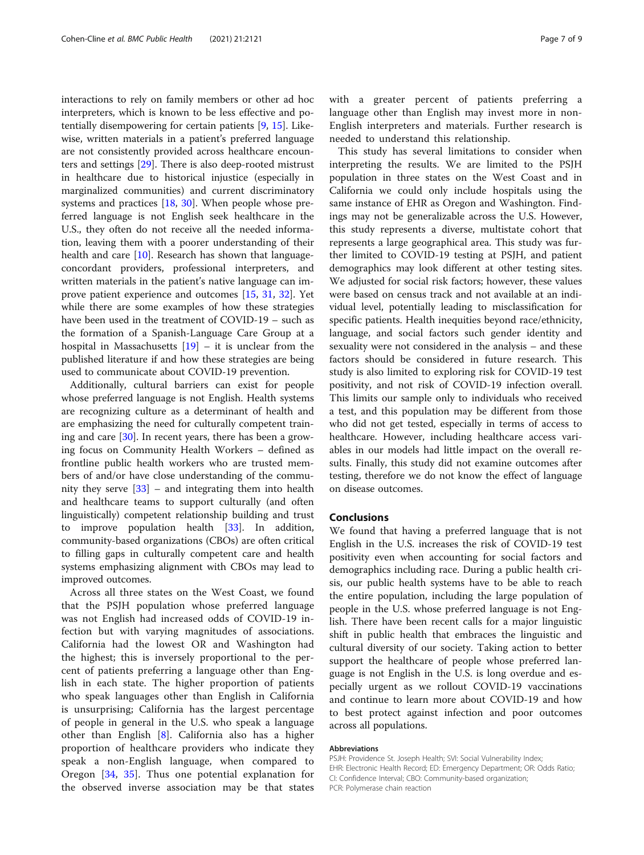interactions to rely on family members or other ad hoc interpreters, which is known to be less effective and potentially disempowering for certain patients [\[9](#page-7-0), [15](#page-7-0)]. Likewise, written materials in a patient's preferred language are not consistently provided across healthcare encounters and settings [\[29](#page-8-0)]. There is also deep-rooted mistrust in healthcare due to historical injustice (especially in marginalized communities) and current discriminatory systems and practices [\[18](#page-7-0), [30\]](#page-8-0). When people whose preferred language is not English seek healthcare in the U.S., they often do not receive all the needed information, leaving them with a poorer understanding of their health and care [[10\]](#page-7-0). Research has shown that languageconcordant providers, professional interpreters, and written materials in the patient's native language can improve patient experience and outcomes [\[15,](#page-7-0) [31](#page-8-0), [32\]](#page-8-0). Yet while there are some examples of how these strategies have been used in the treatment of COVID-19 – such as the formation of a Spanish-Language Care Group at a hospital in Massachusetts  $[19]$  $[19]$  – it is unclear from the published literature if and how these strategies are being used to communicate about COVID-19 prevention.

Additionally, cultural barriers can exist for people whose preferred language is not English. Health systems are recognizing culture as a determinant of health and are emphasizing the need for culturally competent training and care [\[30\]](#page-8-0). In recent years, there has been a growing focus on Community Health Workers – defined as frontline public health workers who are trusted members of and/or have close understanding of the community they serve [[33](#page-8-0)] – and integrating them into health and healthcare teams to support culturally (and often linguistically) competent relationship building and trust to improve population health [[33\]](#page-8-0). In addition, community-based organizations (CBOs) are often critical to filling gaps in culturally competent care and health systems emphasizing alignment with CBOs may lead to improved outcomes.

Across all three states on the West Coast, we found that the PSJH population whose preferred language was not English had increased odds of COVID-19 infection but with varying magnitudes of associations. California had the lowest OR and Washington had the highest; this is inversely proportional to the percent of patients preferring a language other than English in each state. The higher proportion of patients who speak languages other than English in California is unsurprising; California has the largest percentage of people in general in the U.S. who speak a language other than English [[8\]](#page-7-0). California also has a higher proportion of healthcare providers who indicate they speak a non-English language, when compared to Oregon [[34,](#page-8-0) [35](#page-8-0)]. Thus one potential explanation for the observed inverse association may be that states with a greater percent of patients preferring a language other than English may invest more in non-English interpreters and materials. Further research is needed to understand this relationship.

This study has several limitations to consider when interpreting the results. We are limited to the PSJH population in three states on the West Coast and in California we could only include hospitals using the same instance of EHR as Oregon and Washington. Findings may not be generalizable across the U.S. However, this study represents a diverse, multistate cohort that represents a large geographical area. This study was further limited to COVID-19 testing at PSJH, and patient demographics may look different at other testing sites. We adjusted for social risk factors; however, these values were based on census track and not available at an individual level, potentially leading to misclassification for specific patients. Health inequities beyond race/ethnicity, language, and social factors such gender identity and sexuality were not considered in the analysis – and these factors should be considered in future research. This study is also limited to exploring risk for COVID-19 test positivity, and not risk of COVID-19 infection overall. This limits our sample only to individuals who received a test, and this population may be different from those who did not get tested, especially in terms of access to healthcare. However, including healthcare access variables in our models had little impact on the overall results. Finally, this study did not examine outcomes after testing, therefore we do not know the effect of language on disease outcomes.

# Conclusions

We found that having a preferred language that is not English in the U.S. increases the risk of COVID-19 test positivity even when accounting for social factors and demographics including race. During a public health crisis, our public health systems have to be able to reach the entire population, including the large population of people in the U.S. whose preferred language is not English. There have been recent calls for a major linguistic shift in public health that embraces the linguistic and cultural diversity of our society. Taking action to better support the healthcare of people whose preferred language is not English in the U.S. is long overdue and especially urgent as we rollout COVID-19 vaccinations and continue to learn more about COVID-19 and how to best protect against infection and poor outcomes across all populations.

#### Abbreviations

PSJH: Providence St. Joseph Health; SVI: Social Vulnerability Index; EHR: Electronic Health Record; ED: Emergency Department; OR: Odds Ratio; CI: Confidence Interval; CBO: Community-based organization; PCR: Polymerase chain reaction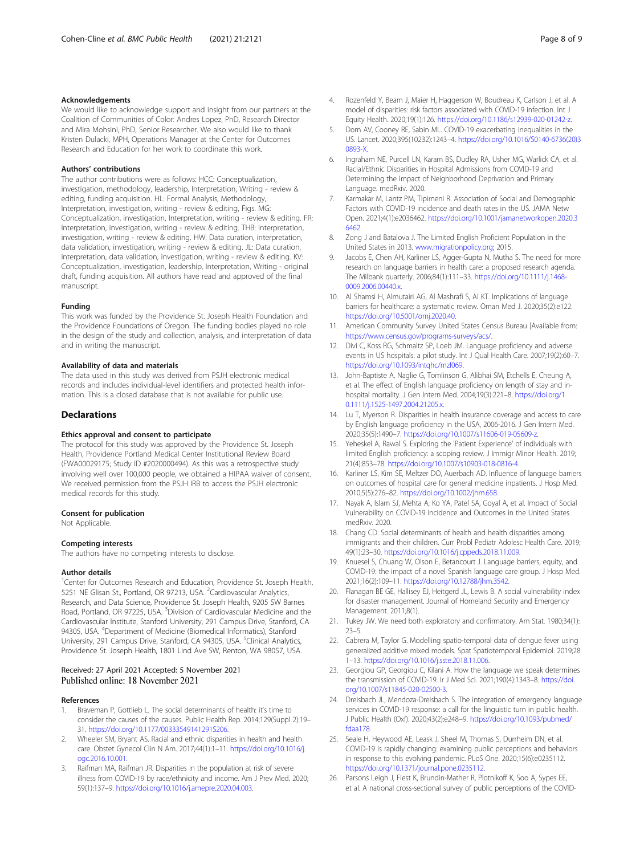#### <span id="page-7-0"></span>Acknowledgements

We would like to acknowledge support and insight from our partners at the Coalition of Communities of Color: Andres Lopez, PhD, Research Director and Mira Mohsini, PhD, Senior Researcher. We also would like to thank Kristen Dulacki, MPH, Operations Manager at the Center for Outcomes Research and Education for her work to coordinate this work.

#### Authors' contributions

The author contributions were as follows: HCC: Conceptualization, investigation, methodology, leadership, Interpretation, Writing - review & editing, funding acquisition. HL: Formal Analysis, Methodology, Interpretation, investigation, writing - review & editing, Figs. MG: Conceptualization, investigation, Interpretation, writing - review & editing. FR: Interpretation, investigation, writing - review & editing. THB: Interpretation, investigation, writing - review & editing. HW: Data curation, interpretation, data validation, investigation, writing - review & editing. JL: Data curation, interpretation, data validation, investigation, writing - review & editing. KV: Conceptualization, investigation, leadership, Interpretation, Writing - original draft, funding acquisition. All authors have read and approved of the final manuscript.

#### Funding

This work was funded by the Providence St. Joseph Health Foundation and the Providence Foundations of Oregon. The funding bodies played no role in the design of the study and collection, analysis, and interpretation of data and in writing the manuscript.

#### Availability of data and materials

The data used in this study was derived from PSJH electronic medical records and includes individual-level identifiers and protected health information. This is a closed database that is not available for public use.

#### Declarations

#### Ethics approval and consent to participate

The protocol for this study was approved by the Providence St. Joseph Health, Providence Portland Medical Center Institutional Review Board (FWA00029175; Study ID #2020000494). As this was a retrospective study involving well over 100,000 people, we obtained a HIPAA waiver of consent. We received permission from the PSJH IRB to access the PSJH electronic medical records for this study.

#### Consent for publication

Not Applicable.

#### Competing interests

The authors have no competing interests to disclose.

#### Author details

<sup>1</sup> Center for Outcomes Research and Education, Providence St. Joseph Health, 5251 NE Glisan St., Portland, OR 97213, USA. <sup>2</sup>Cardiovascular Analytics, Research, and Data Science, Providence St. Joseph Health, 9205 SW Barnes Road, Portland, OR 97225, USA. <sup>3</sup>Division of Cardiovascular Medicine and the Cardiovascular Institute, Stanford University, 291 Campus Drive, Stanford, CA 94305, USA. <sup>4</sup>Department of Medicine (Biomedical Informatics), Stanford University, 291 Campus Drive, Stanford, CA 94305, USA. <sup>5</sup>Clinical Analytics, Providence St. Joseph Health, 1801 Lind Ave SW, Renton, WA 98057, USA.

#### Received: 27 April 2021 Accepted: 5 November 2021 Published online: 18 November 2021

#### References

- 1. Braveman P, Gottlieb L. The social determinants of health: it's time to consider the causes of the causes. Public Health Rep. 2014;129(Suppl 2):19– 31. <https://doi.org/10.1177/00333549141291S206>.
- 2. Wheeler SM, Bryant AS. Racial and ethnic disparities in health and health care. Obstet Gynecol Clin N Am. 2017;44(1):1–11. [https://doi.org/10.1016/j.](https://doi.org/10.1016/j.ogc.2016.10.001) [ogc.2016.10.001.](https://doi.org/10.1016/j.ogc.2016.10.001)
- Raifman MA, Raifman JR. Disparities in the population at risk of severe illness from COVID-19 by race/ethnicity and income. Am J Prev Med. 2020; 59(1):137–9. <https://doi.org/10.1016/j.amepre.2020.04.003>.
- 4. Rozenfeld Y, Beam J, Maier H, Haggerson W, Boudreau K, Carlson J, et al. A model of disparities: risk factors associated with COVID-19 infection. Int J Equity Health. 2020;19(1):126. [https://doi.org/10.1186/s12939-020-01242-z.](https://doi.org/10.1186/s12939-020-01242-z)
- Dorn AV, Cooney RE, Sabin ML. COVID-19 exacerbating inequalities in the US. Lancet. 2020;395(10232):1243–4. [https://doi.org/10.1016/S0140-6736\(20\)3](https://doi.org/10.1016/S0140-6736(20)30893-X) [0893-X](https://doi.org/10.1016/S0140-6736(20)30893-X).
- 6. Ingraham NE, Purcell LN, Karam BS, Dudley RA, Usher MG, Warlick CA, et al. Racial/Ethnic Disparities in Hospital Admissions from COVID-19 and Determining the Impact of Neighborhood Deprivation and Primary Language. medRxiv. 2020.
- 7. Karmakar M, Lantz PM, Tipirneni R. Association of Social and Demographic Factors with COVID-19 incidence and death rates in the US. JAMA Netw Open. 2021;4(1):e2036462. [https://doi.org/10.1001/jamanetworkopen.2020.3](https://doi.org/10.1001/jamanetworkopen.2020.36462) [6462](https://doi.org/10.1001/jamanetworkopen.2020.36462)
- 8. Zong J and Batalova J. The Limited English Proficient Population in the United States in 2013. [www.migrationpolicy.org](http://www.migrationpolicy.org); 2015.
- 9. Jacobs E, Chen AH, Karliner LS, Agger-Gupta N, Mutha S. The need for more research on language barriers in health care: a proposed research agenda. The Milbank quarterly. 2006;84(1):111–33. [https://doi.org/10.1111/j.1468-](https://doi.org/10.1111/j.1468-0009.2006.00440.x) 0009.2006.00440.x
- 10. Al Shamsi H, Almutairi AG, Al Mashrafi S, Al KT. Implications of language barriers for healthcare: a systematic review. Oman Med J. 2020;35(2):e122. [https://doi.org/10.5001/omj.2020.40.](https://doi.org/10.5001/omj.2020.40)
- 11. American Community Survey United States Census Bureau [Available from: <https://www.census.gov/programs-surveys/acs/>.
- 12. Divi C, Koss RG, Schmaltz SP, Loeb JM. Language proficiency and adverse events in US hospitals: a pilot study. Int J Qual Health Care. 2007;19(2):60–7. [https://doi.org/10.1093/intqhc/mzl069.](https://doi.org/10.1093/intqhc/mzl069)
- 13. John-Baptiste A, Naglie G, Tomlinson G, Alibhai SM, Etchells E, Cheung A, et al. The effect of English language proficiency on length of stay and inhospital mortality. J Gen Intern Med. 2004;19(3):221–8. [https://doi.org/1](https://doi.org/10.1111/j.1525-1497.2004.21205.x) [0.1111/j.1525-1497.2004.21205.x.](https://doi.org/10.1111/j.1525-1497.2004.21205.x)
- 14. Lu T, Myerson R. Disparities in health insurance coverage and access to care by English language proficiency in the USA, 2006-2016. J Gen Intern Med. 2020;35(5):1490–7. [https://doi.org/10.1007/s11606-019-05609-z.](https://doi.org/10.1007/s11606-019-05609-z)
- 15. Yeheskel A, Rawal S. Exploring the 'Patient Experience' of individuals with limited English proficiency: a scoping review. J Immigr Minor Health. 2019; 21(4):853–78. <https://doi.org/10.1007/s10903-018-0816-4>.
- 16. Karliner LS, Kim SE, Meltzer DO, Auerbach AD. Influence of language barriers on outcomes of hospital care for general medicine inpatients. J Hosp Med. 2010;5(5):276–82. [https://doi.org/10.1002/jhm.658.](https://doi.org/10.1002/jhm.658)
- 17. Nayak A, Islam SJ, Mehta A, Ko YA, Patel SA, Goyal A, et al. Impact of Social Vulnerability on COVID-19 Incidence and Outcomes in the United States. medRxiv. 2020.
- 18. Chang CD. Social determinants of health and health disparities among immigrants and their children. Curr Probl Pediatr Adolesc Health Care. 2019; 49(1):23–30. <https://doi.org/10.1016/j.cppeds.2018.11.009>.
- 19. Knuesel S, Chuang W, Olson E, Betancourt J. Language barriers, equity, and COVID-19: the impact of a novel Spanish language care group. J Hosp Med. 2021;16(2):109–11. <https://doi.org/10.12788/jhm.3542>.
- 20. Flanagan BE GE, Hallisey EJ, Heitgerd JL, Lewis B. A social vulnerability index for disaster management. Journal of Homeland Security and Emergency Management. 2011;8(1).
- 21. Tukey JW. We need both exploratory and confirmatory. Am Stat. 1980;34(1): 23–5.
- 22. Cabrera M, Taylor G. Modelling spatio-temporal data of dengue fever using generalized additive mixed models. Spat Spatiotemporal Epidemiol. 2019;28: 1–13. [https://doi.org/10.1016/j.sste.2018.11.006.](https://doi.org/10.1016/j.sste.2018.11.006)
- 23. Georgiou GP, Georgiou C, Kilani A. How the language we speak determines the transmission of COVID-19. Ir J Med Sci. 2021;190(4):1343–8. [https://doi.](https://doi.org/10.1007/s11845-020-02500-3) [org/10.1007/s11845-020-02500-3.](https://doi.org/10.1007/s11845-020-02500-3)
- 24. Dreisbach JL, Mendoza-Dreisbach S. The integration of emergency language services in COVID-19 response: a call for the linguistic turn in public health. J Public Health (Oxf). 2020;43(2):e248–9. [https://doi.org/10.1093/pubmed/](https://doi.org/10.1093/pubmed/fdaa178) [fdaa178](https://doi.org/10.1093/pubmed/fdaa178).
- 25. Seale H, Heywood AE, Leask J, Sheel M, Thomas S, Durrheim DN, et al. COVID-19 is rapidly changing: examining public perceptions and behaviors in response to this evolving pandemic. PLoS One. 2020;15(6):e0235112. [https://doi.org/10.1371/journal.pone.0235112.](https://doi.org/10.1371/journal.pone.0235112)
- 26. Parsons Leigh J, Fiest K, Brundin-Mather R, Plotnikoff K, Soo A, Sypes EE, et al. A national cross-sectional survey of public perceptions of the COVID-